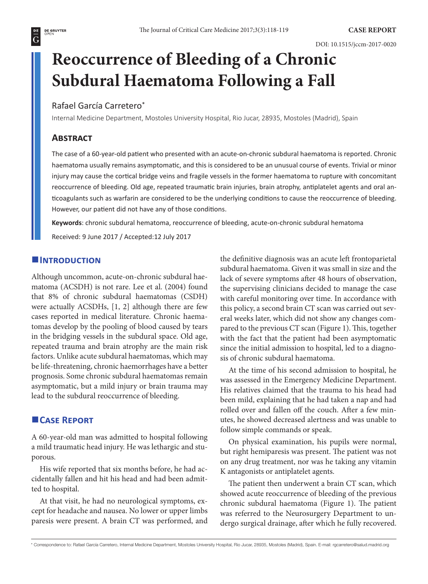$\overline{G}$ 

# **Reoccurrence of Bleeding of a Chronic Subdural Haematoma Following a Fall**

## Rafael García Carretero\*

Internal Medicine Department, Mostoles University Hospital, Rio Jucar, 28935, Mostoles (Madrid), Spain

## **Abstract**

The case of a 60-year-old patient who presented with an acute-on-chronic subdural haematoma is reported. Chronic haematoma usually remains asymptomatic, and this is considered to be an unusual course of events. Trivial or minor injury may cause the cortical bridge veins and fragile vessels in the former haematoma to rupture with concomitant reoccurrence of bleeding. Old age, repeated traumatic brain injuries, brain atrophy, antiplatelet agents and oral anticoagulants such as warfarin are considered to be the underlying conditions to cause the reoccurrence of bleeding. However, our patient did not have any of those conditions.

**Keywords**: chronic subdural hematoma, reoccurrence of bleeding, acute-on-chronic subdural hematoma Received: 9 June 2017 / Accepted:12 July 2017

# **INTRODUCTION**

Although uncommon, acute-on-chronic subdural haematoma (ACSDH) is not rare. Lee et al. (2004) found that 8% of chronic subdural haematomas (CSDH) were actually ACSDHs, [1, 2] although there are few cases reported in medical literature. Chronic haematomas develop by the pooling of blood caused by tears in the bridging vessels in the subdural space. Old age, repeated trauma and brain atrophy are the main risk factors. Unlike acute subdural haematomas, which may be life-threatening, chronic haemorrhages have a better prognosis. Some chronic subdural haematomas remain asymptomatic, but a mild injury or brain trauma may lead to the subdural reoccurrence of bleeding.

#### **Case Report**

A 60-year-old man was admitted to hospital following a mild traumatic head injury. He was lethargic and stuporous.

His wife reported that six months before, he had accidentally fallen and hit his head and had been admitted to hospital.

At that visit, he had no neurological symptoms, except for headache and nausea. No lower or upper limbs paresis were present. A brain CT was performed, and the definitive diagnosis was an acute left frontoparietal subdural haematoma. Given it was small in size and the lack of severe symptoms after 48 hours of observation, the supervising clinicians decided to manage the case with careful monitoring over time. In accordance with this policy, a second brain CT scan was carried out several weeks later, which did not show any changes compared to the previous CT scan (Figure 1). This, together with the fact that the patient had been asymptomatic since the initial admission to hospital, led to a diagnosis of chronic subdural haematoma.

At the time of his second admission to hospital, he was assessed in the Emergency Medicine Department. His relatives claimed that the trauma to his head had been mild, explaining that he had taken a nap and had rolled over and fallen off the couch. After a few minutes, he showed decreased alertness and was unable to follow simple commands or speak.

On physical examination, his pupils were normal, but right hemiparesis was present. The patient was not on any drug treatment, nor was he taking any vitamin K antagonists or antiplatelet agents.

The patient then underwent a brain CT scan, which showed acute reoccurrence of bleeding of the previous chronic subdural haematoma (Figure 1). The patient was referred to the Neurosurgery Department to undergo surgical drainage, after which he fully recovered.

<sup>\*</sup> Correspondence to: Rafael García Carretero, Internal Medicine Department, Mostoles University Hospital, Rio Jucar, 28935, Mostoles (Madrid), Spain. E-mail: rgcarretero@salud.madrid.org